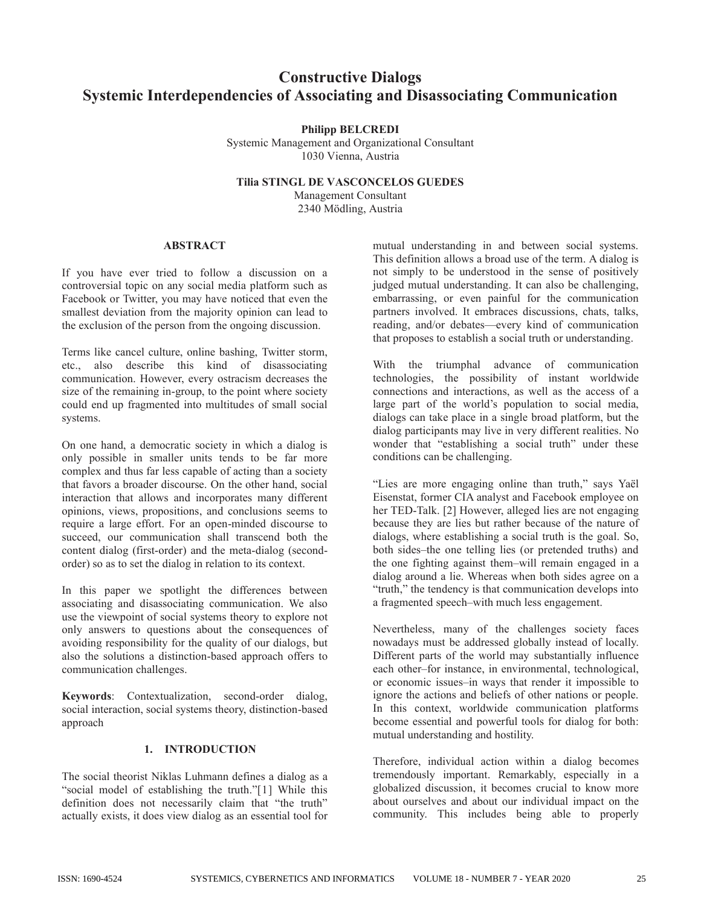# **Constructive Dialogs Systemic Interdependencies of Associating and Disassociating Communication**

# **Philipp BELCREDI**

Systemic Management and Organizational Consultant 1030 Vienna, Austria

**Tilia STINGL DE VASCONCELOS GUEDES**

Management Consultant 2340 Mödling, Austria

# **ABSTRACT**

If you have ever tried to follow a discussion on a controversial topic on any social media platform such as Facebook or Twitter, you may have noticed that even the smallest deviation from the majority opinion can lead to the exclusion of the person from the ongoing discussion.

Terms like cancel culture, online bashing, Twitter storm, etc., also describe this kind of disassociating communication. However, every ostracism decreases the size of the remaining in-group, to the point where society could end up fragmented into multitudes of small social systems.

On one hand, a democratic society in which a dialog is only possible in smaller units tends to be far more complex and thus far less capable of acting than a society that favors a broader discourse. On the other hand, social interaction that allows and incorporates many different opinions, views, propositions, and conclusions seems to require a large effort. For an open-minded discourse to succeed, our communication shall transcend both the content dialog (first-order) and the meta-dialog (secondorder) so as to set the dialog in relation to its context.

In this paper we spotlight the differences between associating and disassociating communication. We also use the viewpoint of social systems theory to explore not only answers to questions about the consequences of avoiding responsibility for the quality of our dialogs, but also the solutions a distinction-based approach offers to communication challenges.

**Keywords**: Contextualization, second-order dialog, social interaction, social systems theory, distinction-based approach

# **1. INTRODUCTION**

The social theorist Niklas Luhmann defines a dialog as a "social model of establishing the truth."[1] While this definition does not necessarily claim that "the truth" actually exists, it does view dialog as an essential tool for

mutual understanding in and between social systems. This definition allows a broad use of the term. A dialog is not simply to be understood in the sense of positively judged mutual understanding. It can also be challenging, embarrassing, or even painful for the communication partners involved. It embraces discussions, chats, talks, reading, and/or debates—every kind of communication that proposes to establish a social truth or understanding.

With the triumphal advance of communication technologies, the possibility of instant worldwide connections and interactions, as well as the access of a large part of the world's population to social media, dialogs can take place in a single broad platform, but the dialog participants may live in very different realities. No wonder that "establishing a social truth" under these conditions can be challenging.

"Lies are more engaging online than truth," says Yaël Eisenstat, former CIA analyst and Facebook employee on her TED-Talk. [2] However, alleged lies are not engaging because they are lies but rather because of the nature of dialogs, where establishing a social truth is the goal. So, both sides–the one telling lies (or pretended truths) and the one fighting against them–will remain engaged in a dialog around a lie. Whereas when both sides agree on a "truth," the tendency is that communication develops into a fragmented speech–with much less engagement.

Nevertheless, many of the challenges society faces nowadays must be addressed globally instead of locally. Different parts of the world may substantially influence each other–for instance, in environmental, technological, or economic issues–in ways that render it impossible to ignore the actions and beliefs of other nations or people. In this context, worldwide communication platforms become essential and powerful tools for dialog for both: mutual understanding and hostility.

Therefore, individual action within a dialog becomes tremendously important. Remarkably, especially in a globalized discussion, it becomes crucial to know more about ourselves and about our individual impact on the community. This includes being able to properly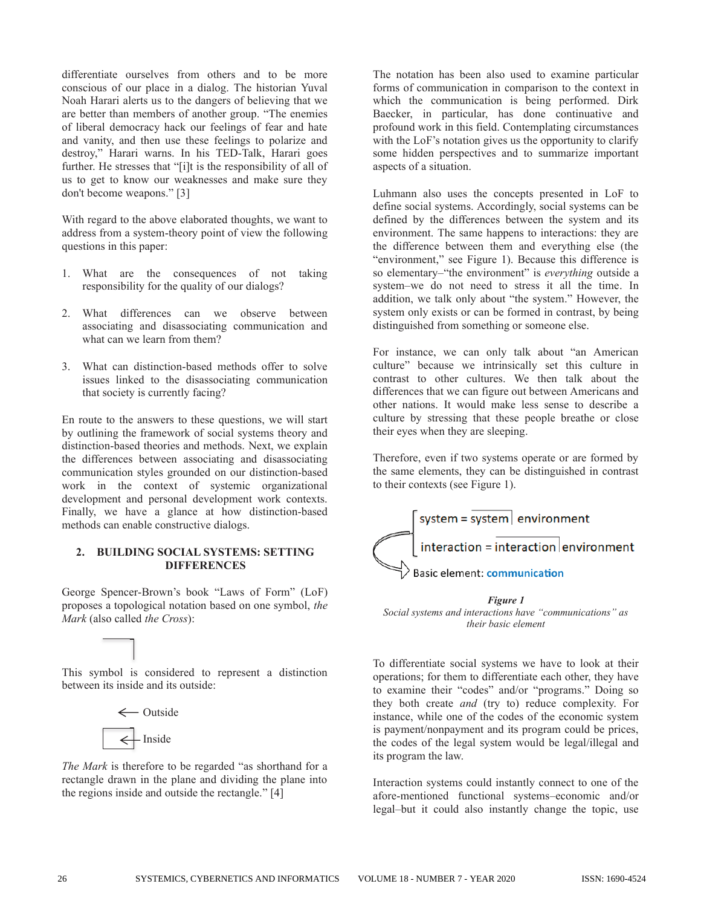differentiate ourselves from others and to be more conscious of our place in a dialog. The historian Yuval Noah Harari alerts us to the dangers of believing that we are better than members of another group. "The enemies of liberal democracy hack our feelings of fear and hate and vanity, and then use these feelings to polarize and destroy," Harari warns. In his TED-Talk, Harari goes further. He stresses that "[i]t is the responsibility of all of us to get to know our weaknesses and make sure they don't become weapons." [3]

With regard to the above elaborated thoughts, we want to address from a system-theory point of view the following questions in this paper:

- 1. What are the consequences of not taking responsibility for the quality of our dialogs?
- 2. What differences can we observe between associating and disassociating communication and what can we learn from them?
- 3. What can distinction-based methods offer to solve issues linked to the disassociating communication that society is currently facing?

En route to the answers to these questions, we will start by outlining the framework of social systems theory and distinction-based theories and methods. Next, we explain the differences between associating and disassociating communication styles grounded on our distinction-based work in the context of systemic organizational development and personal development work contexts. Finally, we have a glance at how distinction-based methods can enable constructive dialogs.

# **2. BUILDING SOCIAL SYSTEMS: SETTING DIFFERENCES**

George Spencer-Brown's book "Laws of Form" (LoF) proposes a topological notation based on one symbol, *the Mark* (also called *the Cross*):

This symbol is considered to represent a distinction between its inside and its outside:



*The Mark* is therefore to be regarded "as shorthand for a rectangle drawn in the plane and dividing the plane into the regions inside and outside the rectangle." [4]

The notation has been also used to examine particular forms of communication in comparison to the context in which the communication is being performed. Dirk Baecker, in particular, has done continuative and profound work in this field. Contemplating circumstances with the LoF's notation gives us the opportunity to clarify some hidden perspectives and to summarize important aspects of a situation.

Luhmann also uses the concepts presented in LoF to define social systems. Accordingly, social systems can be defined by the differences between the system and its environment. The same happens to interactions: they are the difference between them and everything else (the "environment," see Figure 1). Because this difference is so elementary–"the environment" is *everything* outside a system–we do not need to stress it all the time. In addition, we talk only about "the system." However, the system only exists or can be formed in contrast, by being distinguished from something or someone else.

For instance, we can only talk about "an American culture" because we intrinsically set this culture in contrast to other cultures. We then talk about the differences that we can figure out between Americans and other nations. It would make less sense to describe a culture by stressing that these people breathe or close their eyes when they are sleeping.

Therefore, even if two systems operate or are formed by the same elements, they can be distinguished in contrast to their contexts (see Figure 1).



*Figure 1 Social systems and interactions have "communications" as their basic element*

To differentiate social systems we have to look at their operations; for them to differentiate each other, they have to examine their "codes" and/or "programs." Doing so they both create *and* (try to) reduce complexity. For instance, while one of the codes of the economic system is payment/nonpayment and its program could be prices, the codes of the legal system would be legal/illegal and its program the law.

Interaction systems could instantly connect to one of the afore-mentioned functional systems–economic and/or legal–but it could also instantly change the topic, use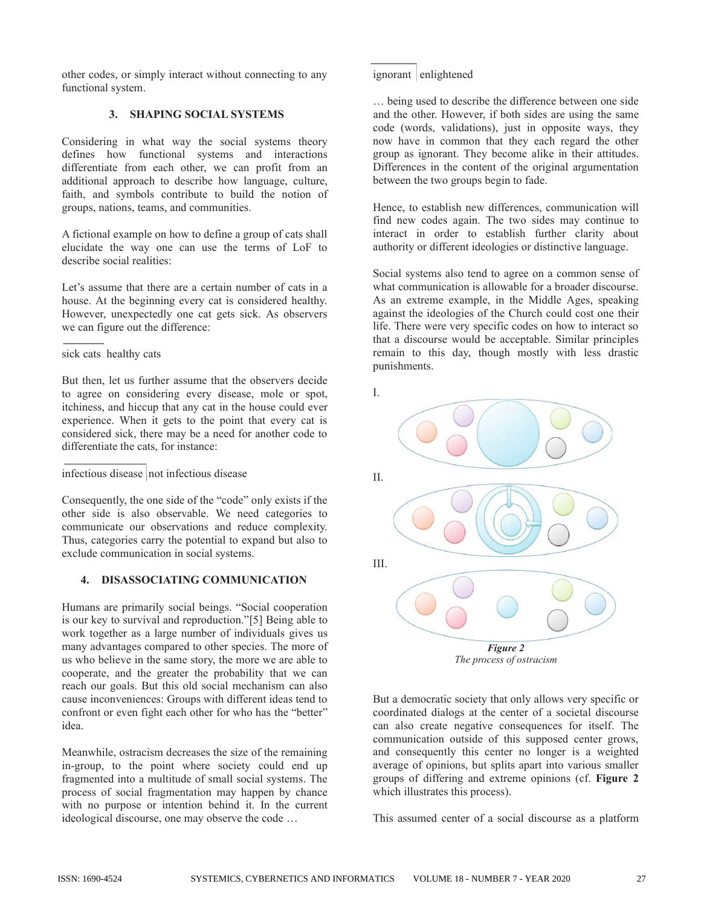other codes, or simply interact without connecting to any functional system.

Considering in what way the social systems theory defines how functional systems and interactions differentiate from each other, we can profit from an additional approach to describe how language, culture, faith, and symbols contribute to build the notion of groups, nations, teams, and communities.

A fictional example on how to define a group of cats shall elucidate the way one can use the terms of LoF to describe social realities:

Let's assume that there are a certain number of cats in a house. At the beginning every cat is considered healthy. However, unexpectedly one cat gets sick. As observers we can figure out the difference:

# sick cats healthy cats

But then, let us further assume that the observers decide to agree on considering every disease, mole or spot, itchiness, and hiccup that any cat in the house could ever experience. When it gets to the point that every cat is considered sick, there may be a need for another code to differentiate the cats, for instance:

infectious disease not infectious disease

Consequently, the one side of the "code" only exists if the other side is also observable. We need categories to communicate our observations and reduce complexity. Thus, categories carry the potential to expand but also to exclude communication in social systems.

# **4. DISASSOCIATING COMMUNICATION**

Humans are primarily social beings. "Social cooperation is our key to survival and reproduction."[5] Being able to work together as a large number of individuals gives us many advantages compared to other species. The more of us who believe in the same story, the more we are able to cooperate, and the greater the probability that we can reach our goals. But this old social mechanism can also cause inconveniences: Groups with different ideas tend to confront or even fight each other for who has the "better" idea.

Meanwhile, ostracism decreases the size of the remaining in-group, to the point where society could end up fragmented into a multitude of small social systems. The process of social fragmentation may happen by chance with no purpose or intention behind it. In the current ideological discourse, one may observe the code …

ignorant enlightened

… being used to describe the difference between one side code (words, validations), just in opposite ways, they now have in common that they each regard the other group as ignorant. They become alike in their attitudes. Differences in the content of the original argumentation between the two groups begin to fade. **3. SHAPING SOCIAL SYSTEMS** and the other. However, if both sides are using the same

> Hence, to establish new differences, communication will find new codes again. The two sides may continue to interact in order to establish further clarity about authority or different ideologies or distinctive language.

> Social systems also tend to agree on a common sense of what communication is allowable for a broader discourse. As an extreme example, in the Middle Ages, speaking against the ideologies of the Church could cost one their life. There were very specific codes on how to interact so that a discourse would be acceptable. Similar principles remain to this day, though mostly with less drastic punishments.



But a democratic society that only allows very specific or coordinated dialogs at the center of a societal discourse can also create negative consequences for itself. The communication outside of this supposed center grows, and consequently this center no longer is a weighted average of opinions, but splits apart into various smaller groups of differing and extreme opinions (cf. **Figure 2** which illustrates this process).

This assumed center of a social discourse as a platform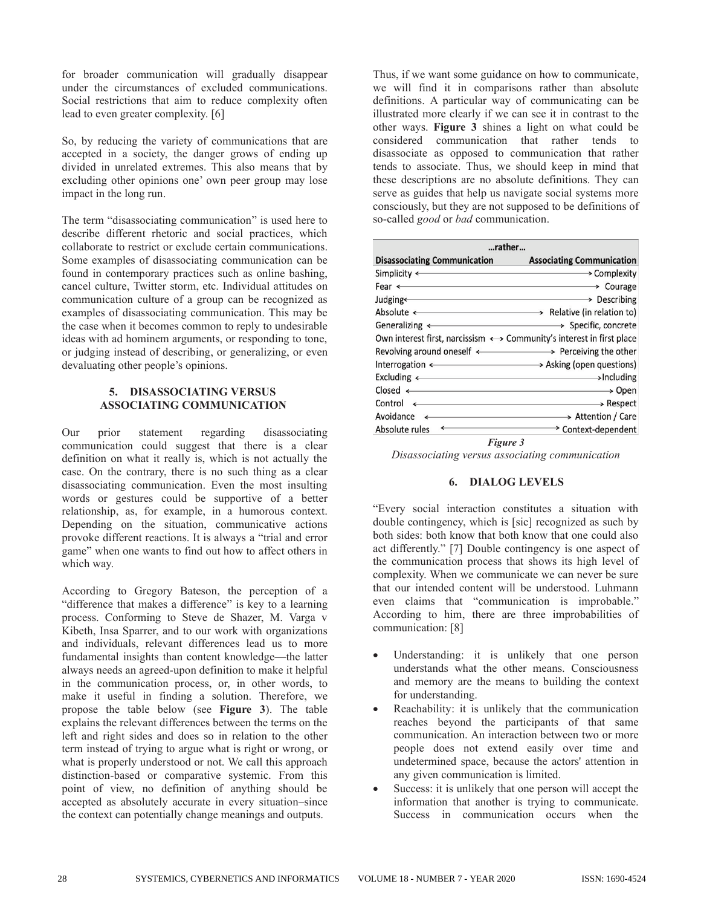for broader communication will gradually disappear under the circumstances of excluded communications. Social restrictions that aim to reduce complexity often lead to even greater complexity. [6]

So, by reducing the variety of communications that are accepted in a society, the danger grows of ending up divided in unrelated extremes. This also means that by excluding other opinions one' own peer group may lose impact in the long run.

The term "disassociating communication" is used here to describe different rhetoric and social practices, which collaborate to restrict or exclude certain communications. Some examples of disassociating communication can be found in contemporary practices such as online bashing, cancel culture, Twitter storm, etc. Individual attitudes on communication culture of a group can be recognized as examples of disassociating communication. This may be the case when it becomes common to reply to undesirable ideas with ad hominem arguments, or responding to tone, or judging instead of describing, or generalizing, or even devaluating other people's opinions.

# **5. DISASSOCIATING VERSUS ASSOCIATING COMMUNICATION**

Our prior statement regarding disassociating communication could suggest that there is a clear definition on what it really is, which is not actually the case. On the contrary, there is no such thing as a clear disassociating communication. Even the most insulting words or gestures could be supportive of a better relationship, as, for example, in a humorous context. Depending on the situation, communicative actions provoke different reactions. It is always a "trial and error game" when one wants to find out how to affect others in which way.

According to Gregory Bateson, the perception of a "difference that makes a difference" is key to a learning process. Conforming to Steve de Shazer, M. Varga v Kibeth, Insa Sparrer, and to our work with organizations and individuals, relevant differences lead us to more fundamental insights than content knowledge—the latter always needs an agreed-upon definition to make it helpful in the communication process, or, in other words, to make it useful in finding a solution. Therefore, we propose the table below (see **Figure 3**). The table explains the relevant differences between the terms on the left and right sides and does so in relation to the other term instead of trying to argue what is right or wrong, or what is properly understood or not. We call this approach distinction-based or comparative systemic. From this point of view, no definition of anything should be accepted as absolutely accurate in every situation–since the context can potentially change meanings and outputs.

Thus, if we want some guidance on how to communicate, we will find it in comparisons rather than absolute definitions. A particular way of communicating can be illustrated more clearly if we can see it in contrast to the other ways. **Figure 3** shines a light on what could be considered communication that rather tends to disassociate as opposed to communication that rather tends to associate. Thus, we should keep in mind that these descriptions are no absolute definitions. They can serve as guides that help us navigate social systems more consciously, but they are not supposed to be definitions of so-called *good* or *bad* communication.

| rather                                                                                                                                                                                                                                                                                                                                                                                                                                                                                                        |                                  |
|---------------------------------------------------------------------------------------------------------------------------------------------------------------------------------------------------------------------------------------------------------------------------------------------------------------------------------------------------------------------------------------------------------------------------------------------------------------------------------------------------------------|----------------------------------|
| <b>Disassociating Communication</b>                                                                                                                                                                                                                                                                                                                                                                                                                                                                           | <b>Associating Communication</b> |
| Simplicity $\longleftarrow$                                                                                                                                                                                                                                                                                                                                                                                                                                                                                   | → Complexity                     |
| Fear < Not all the second states and the second states and the second states and the second states are the second states and the second states are the second states and the second states are second states and states are se                                                                                                                                                                                                                                                                                | $\rightarrow$ Courage            |
|                                                                                                                                                                                                                                                                                                                                                                                                                                                                                                               | $\rightarrow$ Describing         |
| Absolute < Relative (in relation to)                                                                                                                                                                                                                                                                                                                                                                                                                                                                          |                                  |
| Generalizing $\leftarrow$<br><u> 1989 - Johann Barn, amerikansk politiker (</u>                                                                                                                                                                                                                                                                                                                                                                                                                               | $\rightarrow$ Specific, concrete |
| Own interest first, narcissism $\longleftrightarrow$ Community's interest in first place                                                                                                                                                                                                                                                                                                                                                                                                                      |                                  |
| Revolving around oneself <>>>>>>>>> Perceiving the other                                                                                                                                                                                                                                                                                                                                                                                                                                                      |                                  |
| Interrogation < >>>>>>>>>>Asking (open questions)                                                                                                                                                                                                                                                                                                                                                                                                                                                             |                                  |
| $\mathsf{Excluding} \leftarrow \longrightarrow \mathsf{Including}$                                                                                                                                                                                                                                                                                                                                                                                                                                            |                                  |
| $\mathsf{Closed} \leftarrow$                                                                                                                                                                                                                                                                                                                                                                                                                                                                                  | → Open                           |
| $Control \leftarrow$                                                                                                                                                                                                                                                                                                                                                                                                                                                                                          | $\longrightarrow$ Respect        |
| Avoidance<br>$\leftarrow$ $\leftarrow$ $\leftarrow$ $\leftarrow$ $\leftarrow$ $\leftarrow$ $\leftarrow$ $\leftarrow$ $\leftarrow$ $\leftarrow$ $\leftarrow$ $\leftarrow$ $\leftarrow$ $\leftarrow$ $\leftarrow$ $\leftarrow$ $\leftarrow$ $\leftarrow$ $\leftarrow$ $\leftarrow$ $\leftarrow$ $\leftarrow$ $\leftarrow$ $\leftarrow$ $\leftarrow$ $\leftarrow$ $\leftarrow$ $\leftarrow$ $\leftarrow$ $\leftarrow$ $\leftarrow$ $\leftarrow$ $\leftarrow$ $\leftarrow$ $\leftarrow$ $\leftarrow$ $\leftarrow$ | > Attention / Care               |
| Absolute rules<br>$\cdots$                                                                                                                                                                                                                                                                                                                                                                                                                                                                                    | * Context-dependent<br>$\sim$    |

*Figure 3*

*Disassociating versus associating communication*

# **6. DIALOG LEVELS**

"Every social interaction constitutes a situation with double contingency, which is [sic] recognized as such by both sides: both know that both know that one could also act differently." [7] Double contingency is one aspect of the communication process that shows its high level of complexity. When we communicate we can never be sure that our intended content will be understood. Luhmann even claims that "communication is improbable." According to him, there are three improbabilities of communication: [8]

- Understanding: it is unlikely that one person understands what the other means. Consciousness and memory are the means to building the context for understanding.
- Reachability: it is unlikely that the communication reaches beyond the participants of that same communication. An interaction between two or more people does not extend easily over time and undetermined space, because the actors' attention in any given communication is limited.
- Success: it is unlikely that one person will accept the information that another is trying to communicate. Success in communication occurs when the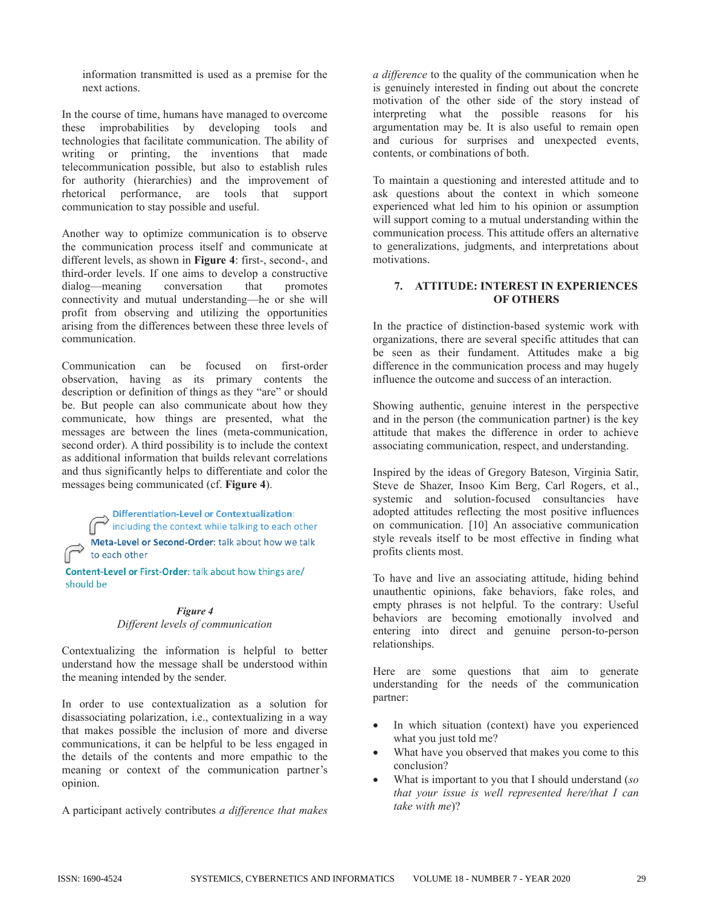information transmitted is used as a premise for the next actions.

In the course of time, humans have managed to overcome these improbabilities by developing tools and technologies that facilitate communication. The ability of writing or printing, the inventions that made telecommunication possible, but also to establish rules for authority (hierarchies) and the improvement of rhetorical performance, are tools that support communication to stay possible and useful.

Another way to optimize communication is to observe the communication process itself and communicate at different levels, as shown in **Figure 4**: first-, second-, and third-order levels. If one aims to develop a constructive dialog—meaning conversation that promotes connectivity and mutual understanding—he or she will profit from observing and utilizing the opportunities arising from the differences between these three levels of communication.

Communication can be focused on first-order observation, having as its primary contents the description or definition of things as they "are" or should be. But people can also communicate about how they communicate, how things are presented, what the messages are between the lines (meta-communication, second order). A third possibility is to include the context as additional information that builds relevant correlations and thus significantly helps to differentiate and color the messages being communicated (cf. **Figure 4**).

Differentiation-Level or Contextualization:<br>including the context while talking to each other

Meta-Level or Second-Order: talk about how we talk to each other

Content-Level or First-Order: talk about how things are/ should be

#### *Figure 4 Different levels of communication*

Contextualizing the information is helpful to better understand how the message shall be understood within the meaning intended by the sender.

In order to use contextualization as a solution for disassociating polarization, i.e., contextualizing in a way that makes possible the inclusion of more and diverse communications, it can be helpful to be less engaged in the details of the contents and more empathic to the meaning or context of the communication partner's opinion.

A participant actively contributes *a difference that makes* 

*a difference* to the quality of the communication when he is genuinely interested in finding out about the concrete motivation of the other side of the story instead of interpreting what the possible reasons for his argumentation may be. It is also useful to remain open and curious for surprises and unexpected events, contents, or combinations of both.

To maintain a questioning and interested attitude and to ask questions about the context in which someone experienced what led him to his opinion or assumption will support coming to a mutual understanding within the communication process. This attitude offers an alternative to generalizations, judgments, and interpretations about motivations.

# **7. ATTITUDE: INTEREST IN EXPERIENCES OF OTHERS**

In the practice of distinction-based systemic work with organizations, there are several specific attitudes that can be seen as their fundament. Attitudes make a big difference in the communication process and may hugely influence the outcome and success of an interaction.

Showing authentic, genuine interest in the perspective and in the person (the communication partner) is the key attitude that makes the difference in order to achieve associating communication, respect, and understanding.

Inspired by the ideas of Gregory Bateson, Virginia Satir, Steve de Shazer, Insoo Kim Berg, Carl Rogers, et al., systemic and solution-focused consultancies have adopted attitudes reflecting the most positive influences on communication. [10] An associative communication style reveals itself to be most effective in finding what profits clients most.

To have and live an associating attitude, hiding behind unauthentic opinions, fake behaviors, fake roles, and empty phrases is not helpful. To the contrary: Useful behaviors are becoming emotionally involved and entering into direct and genuine person-to-person relationships.

Here are some questions that aim to generate understanding for the needs of the communication partner:

- In which situation (context) have you experienced what you just told me?
- What have you observed that makes you come to this conclusion?
- · What is important to you that I should understand (*so that your issue is well represented here/that I can take with me*)?